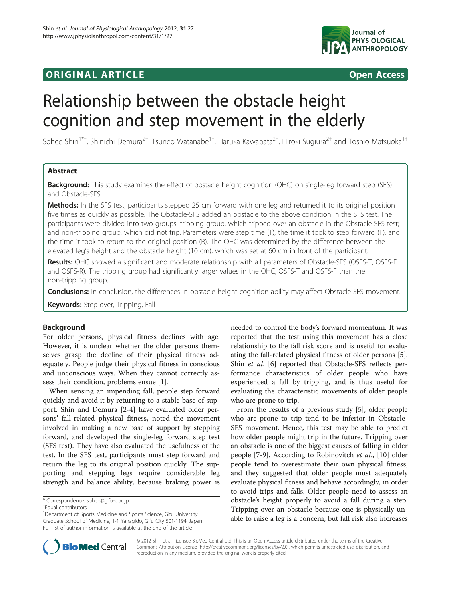# **ORIGINAL ARTICLE CONSERVERSITY OF ACCESS**



# Relationship between the obstacle height cognition and step movement in the elderly

Sohee Shin<sup>1\*†</sup>, Shinichi Demura<sup>2†</sup>, Tsuneo Watanabe<sup>1†</sup>, Haruka Kawabata<sup>2†</sup>, Hiroki Sugiura<sup>2†</sup> and Toshio Matsuoka<sup>1†</sup>

# Abstract

**Background:** This study examines the effect of obstacle height cognition (OHC) on single-leg forward step (SFS) and Obstacle-SFS.

Methods: In the SFS test, participants stepped 25 cm forward with one leg and returned it to its original position five times as quickly as possible. The Obstacle-SFS added an obstacle to the above condition in the SFS test. The participants were divided into two groups: tripping group, which tripped over an obstacle in the Obstacle-SFS test; and non-tripping group, which did not trip. Parameters were step time (T), the time it took to step forward (F), and the time it took to return to the original position (R). The OHC was determined by the difference between the elevated leg's height and the obstacle height (10 cm), which was set at 60 cm in front of the participant.

Results: OHC showed a significant and moderate relationship with all parameters of Obstacle-SFS (OSFS-T, OSFS-F and OSFS-R). The tripping group had significantly larger values in the OHC, OSFS-T and OSFS-F than the non-tripping group.

**Conclusions:** In conclusion, the differences in obstacle height cognition ability may affect Obstacle-SFS movement.

Keywords: Step over, Tripping, Fall

# Background

For older persons, physical fitness declines with age. However, it is unclear whether the older persons themselves grasp the decline of their physical fitness adequately. People judge their physical fitness in conscious and unconscious ways. When they cannot correctly assess their condition, problems ensue [[1\]](#page-5-0).

When sensing an impending fall, people step forward quickly and avoid it by returning to a stable base of support. Shin and Demura [[2](#page-5-0)-[4\]](#page-5-0) have evaluated older persons' fall-related physical fitness, noted the movement involved in making a new base of support by stepping forward, and developed the single-leg forward step test (SFS test). They have also evaluated the usefulness of the test. In the SFS test, participants must step forward and return the leg to its original position quickly. The supporting and stepping legs require considerable leg strength and balance ability, because braking power is

needed to control the body's forward momentum. It was reported that the test using this movement has a close relationship to the fall risk score and is useful for evaluating the fall-related physical fitness of older persons [\[5](#page-5-0)]. Shin *et al.* [\[6](#page-5-0)] reported that Obstacle-SFS reflects performance characteristics of older people who have experienced a fall by tripping, and is thus useful for evaluating the characteristic movements of older people who are prone to trip.

From the results of a previous study [[5\]](#page-5-0), older people who are prone to trip tend to be inferior in Obstacle-SFS movement. Hence, this test may be able to predict how older people might trip in the future. Tripping over an obstacle is one of the biggest causes of falling in older people [\[7](#page-5-0)-[9\]](#page-5-0). According to Robinovitch et al., [\[10\]](#page-5-0) older people tend to overestimate their own physical fitness, and they suggested that older people must adequately evaluate physical fitness and behave accordingly, in order to avoid trips and falls. Older people need to assess an obstacle's height properly to avoid a fall during a step. Tripping over an obstacle because one is physically unable to raise a leg is a concern, but fall risk also increases



© 2012 Shin et al.; licensee BioMed Central Ltd. This is an Open Access article distributed under the terms of the Creative Commons Attribution License [\(http://creativecommons.org/licenses/by/2.0\)](http://creativecommons.org/licenses/by/2.0), which permits unrestricted use, distribution, and reproduction in any medium, provided the original work is properly cited.

<sup>\*</sup> Correspondence: [sohee@gifu-u.ac.jp](mailto:sohee@gifu--.ac.jp) †

Equal contributors

<sup>&</sup>lt;sup>1</sup> Department of Sports Medicine and Sports Science, Gifu University Graduate School of Medicine, 1-1 Yanagido, Gifu City 501-1194, Japan Full list of author information is available at the end of the article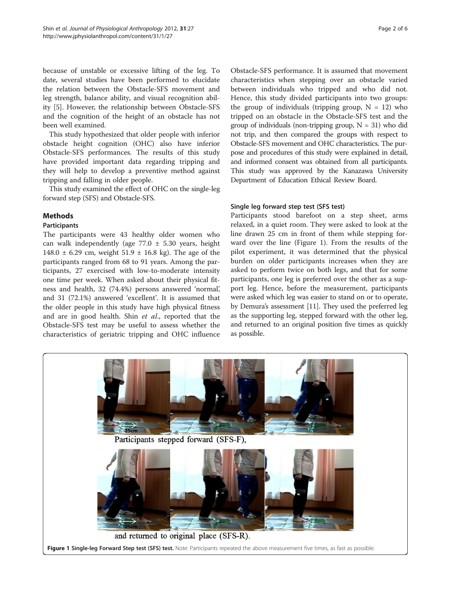because of unstable or excessive lifting of the leg. To date, several studies have been performed to elucidate the relation between the Obstacle-SFS movement and leg strength, balance ability, and visual recognition ability [[5\]](#page-5-0). However, the relationship between Obstacle-SFS and the cognition of the height of an obstacle has not been well examined.

This study hypothesized that older people with inferior obstacle height cognition (OHC) also have inferior Obstacle-SFS performances. The results of this study have provided important data regarding tripping and they will help to develop a preventive method against tripping and falling in older people.

This study examined the effect of OHC on the single-leg forward step (SFS) and Obstacle-SFS.

# Methods

### Participants

The participants were 43 healthy older women who can walk independently (age  $77.0 \pm 5.30$  years, height 148.0  $\pm$  6.29 cm, weight 51.9  $\pm$  16.8 kg). The age of the participants ranged from 68 to 91 years. Among the participants, 27 exercised with low-to-moderate intensity one time per week. When asked about their physical fitness and health, 32 (74.4%) persons answered 'normal', and 31 (72.1%) answered 'excellent'. It is assumed that the older people in this study have high physical fitness and are in good health. Shin et al., reported that the Obstacle-SFS test may be useful to assess whether the characteristics of geriatric tripping and OHC influence

Obstacle-SFS performance. It is assumed that movement characteristics when stepping over an obstacle varied between individuals who tripped and who did not. Hence, this study divided participants into two groups: the group of individuals (tripping group,  $N = 12$ ) who tripped on an obstacle in the Obstacle-SFS test and the group of individuals (non-tripping group,  $N = 31$ ) who did not trip, and then compared the groups with respect to Obstacle-SFS movement and OHC characteristics. The purpose and procedures of this study were explained in detail, and informed consent was obtained from all participants. This study was approved by the Kanazawa University Department of Education Ethical Review Board.

### Single leg forward step test (SFS test)

Participants stood barefoot on a step sheet, arms relaxed, in a quiet room. They were asked to look at the line drawn 25 cm in front of them while stepping forward over the line (Figure 1). From the results of the pilot experiment, it was determined that the physical burden on older participants increases when they are asked to perform twice on both legs, and that for some participants, one leg is preferred over the other as a support leg. Hence, before the measurement, participants were asked which leg was easier to stand on or to operate, by Demura's assessment [\[11\]](#page-5-0). They used the preferred leg as the supporting leg, stepped forward with the other leg, and returned to an original position five times as quickly as possible.

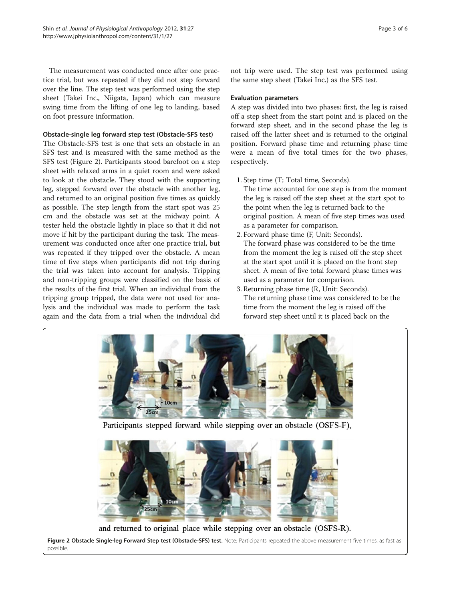The measurement was conducted once after one practice trial, but was repeated if they did not step forward over the line. The step test was performed using the step sheet (Takei Inc., Niigata, Japan) which can measure swing time from the lifting of one leg to landing, based on foot pressure information.

### Obstacle-single leg forward step test (Obstacle-SFS test)

The Obstacle-SFS test is one that sets an obstacle in an SFS test and is measured with the same method as the SFS test (Figure 2). Participants stood barefoot on a step sheet with relaxed arms in a quiet room and were asked to look at the obstacle. They stood with the supporting leg, stepped forward over the obstacle with another leg, and returned to an original position five times as quickly as possible. The step length from the start spot was 25 cm and the obstacle was set at the midway point. A tester held the obstacle lightly in place so that it did not move if hit by the participant during the task. The measurement was conducted once after one practice trial, but was repeated if they tripped over the obstacle. A mean time of five steps when participants did not trip during the trial was taken into account for analysis. Tripping and non-tripping groups were classified on the basis of the results of the first trial. When an individual from the tripping group tripped, the data were not used for analysis and the individual was made to perform the task again and the data from a trial when the individual did not trip were used. The step test was performed using the same step sheet (Takei Inc.) as the SFS test.

#### Evaluation parameters

A step was divided into two phases: first, the leg is raised off a step sheet from the start point and is placed on the forward step sheet, and in the second phase the leg is raised off the latter sheet and is returned to the original position. Forward phase time and returning phase time were a mean of five total times for the two phases, respectively.

1. Step time (T; Total time, Seconds).

The time accounted for one step is from the moment the leg is raised off the step sheet at the start spot to the point when the leg is returned back to the original position. A mean of five step times was used as a parameter for comparison.

- 2. Forward phase time (F, Unit: Seconds). The forward phase was considered to be the time from the moment the leg is raised off the step sheet at the start spot until it is placed on the front step sheet. A mean of five total forward phase times was used as a parameter for comparison.
- 3. Returning phase time (R, Unit: Seconds). The returning phase time was considered to be the time from the moment the leg is raised off the forward step sheet until it is placed back on the

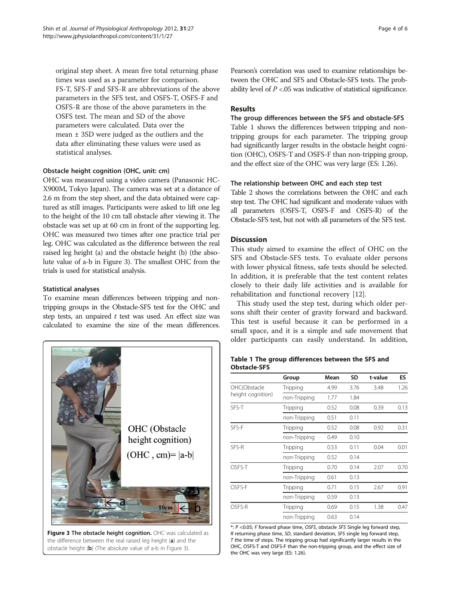original step sheet. A mean five total returning phase times was used as a parameter for comparison. FS-T, SFS-F and SFS-R are abbreviations of the above parameters in the SFS test, and OSFS-T, OSFS-F and OSFS-R are those of the above parameters in the OSFS test. The mean and SD of the above parameters were calculated. Data over the mean ± 3SD were judged as the outliers and the data after eliminating these values were used as statistical analyses.

### Obstacle height cognition (OHC, unit: cm)

OHC was measured using a video camera (Panasonic HC-X900M, Tokyo Japan). The camera was set at a distance of 2.6 m from the step sheet, and the data obtained were captured as still images. Participants were asked to lift one leg to the height of the 10 cm tall obstacle after viewing it. The obstacle was set up at 60 cm in front of the supporting leg. OHC was measured two times after one practice trial per leg. OHC was calculated as the difference between the real raised leg height (a) and the obstacle height (b) (the absolute value of a-b in Figure 3). The smallest OHC from the trials is used for statistical analysis.

### Statistical analyses

To examine mean differences between tripping and nontripping groups in the Obstacle-SFS test for the OHC and step tests, an unpaired  $t$  test was used. An effect size was calculated to examine the size of the mean differences.



the difference between the real raised leg height (a) and the obstacle height (b) (The absolute value of a-b in Figure 3).

Pearson's correlation was used to examine relationships between the OHC and SFS and Obstacle-SFS tests. The probability level of  $P < 0.05$  was indicative of statistical significance.

# Results

### The group differences between the SFS and obstacle-SFS

Table 1 shows the differences between tripping and nontripping groups for each parameter. The tripping group had significantly larger results in the obstacle height cognition (OHC), OSFS-T and OSFS-F than non-tripping group, and the effect size of the OHC was very large (ES: 1.26).

## The relationship between OHC and each step test

Table [2](#page-4-0) shows the correlations between the OHC and each step test. The OHC had significant and moderate values with all parameters (OSFS-T, OSFS-F and OSFS-R) of the Obstacle-SFS test, but not with all parameters of the SFS test.

# **Discussion**

This study aimed to examine the effect of OHC on the SFS and Obstacle-SFS tests. To evaluate older persons with lower physical fitness, safe tests should be selected. In addition, it is preferable that the test content relates closely to their daily life activities and is available for rehabilitation and functional recovery [[12\]](#page-5-0).

This study used the step test, during which older persons shift their center of gravity forward and backward. This test is useful because it can be performed in a small space, and it is a simple and safe movement that older participants can easily understand. In addition,

Table 1 The group differences between the SFS and Obstacle-SFS

|                   | Group        | Mean | SD   | t-value | <b>ES</b> |
|-------------------|--------------|------|------|---------|-----------|
| OHC(Obstacle      | Tripping     | 4.99 | 3.76 | 3.48    | 1.26      |
| height cognition) | non-Tripping | 1.77 | 1.84 |         |           |
| SES-T             | Tripping     | 0.52 | 0.08 | 0.39    | 0.13      |
|                   | non-Tripping | 0.51 | 0.11 |         |           |
| SFS-F             | Tripping     | 0.52 | 0.08 | 0.92    | 0.31      |
|                   | non-Tripping | 0.49 | 0.10 |         |           |
| SFS-R             | Tripping     | 0.53 | 0.11 | 0.04    | 0.01      |
|                   | non-Tripping | 0.52 | 0.14 |         |           |
| OSFS-T            | Tripping     | 0.70 | 0.14 | 2.07    | 0.70      |
|                   | non-Tripping | 0.61 | 0.13 |         |           |
| OSFS-F            | Tripping     | 0.71 | 0.15 | 2.67    | 0.91      |
|                   | non-Tripping | 0.59 | 0.13 |         |           |
| OSFS-R            | Tripping     | 0.69 | 0.15 | 1.38    | 0.47      |
|                   | non-Tripping | 0.63 | 0.14 |         |           |

\*: P <0.05; F forward phase time, OSFS, obstacle SFS Single leg forward step, R returning phase time, SD, standard deviation, SFS single leg forward step,  $T$  the time of steps. The tripping group had significantly larger results in the OHC, OSFS-T and OSFS-F than the non-tripping group, and the effect size of the OHC was very large (ES: 1.26).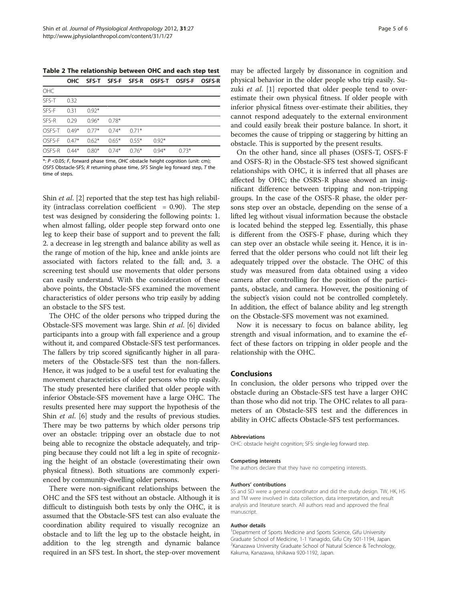<span id="page-4-0"></span>Table 2 The relationship between OHC and each step test

|        |         |         |                           |         | OHC SFS-T SFS-F SFS-R OSFS-T OSFS-F OSFS-R |         |  |
|--------|---------|---------|---------------------------|---------|--------------------------------------------|---------|--|
| OHC    |         |         |                           |         |                                            |         |  |
| SFS-T  | 0.32    |         |                           |         |                                            |         |  |
| SFS-F  | 0.31    | $0.92*$ |                           |         |                                            |         |  |
| SFS-R  | 0.29    | $0.96*$ | $0.78*$                   |         |                                            |         |  |
| OSES-T | $0.49*$ | $0.77*$ | $0.74*$                   | $0.71*$ |                                            |         |  |
| OSES-E | $0.47*$ | $0.62*$ | $0.65*$                   | $0.55*$ | $0.92*$                                    |         |  |
| OSES-R | $0.44*$ | $0.80*$ | $0.74*$ 0.76 <sup>*</sup> |         | $0.94*$                                    | $0.73*$ |  |
|        |         |         |                           |         |                                            |         |  |

 $*$ :  $P$  <0.05; F, forward phase time, OHC obstacle height cognition (unit: cm); OSFS Obstacle-SFS; R returning phase time, SFS Single leg forward step, T the time of steps.

Shin *et al.* [[2](#page-5-0)] reported that the step test has high reliability (intraclass correlation coefficient  $= 0.90$ ). The step test was designed by considering the following points: 1. when almost falling, older people step forward onto one leg to keep their base of support and to prevent the fall; 2. a decrease in leg strength and balance ability as well as the range of motion of the hip, knee and ankle joints are associated with factors related to the fall; and, 3. a screening test should use movements that older persons can easily understand. With the consideration of these above points, the Obstacle-SFS examined the movement characteristics of older persons who trip easily by adding an obstacle to the SFS test.

The OHC of the older persons who tripped during the Obstacle-SFS movement was large. Shin et al. [\[6](#page-5-0)] divided participants into a group with fall experience and a group without it, and compared Obstacle-SFS test performances. The fallers by trip scored significantly higher in all parameters of the Obstacle-SFS test than the non-fallers. Hence, it was judged to be a useful test for evaluating the movement characteristics of older persons who trip easily. The study presented here clarified that older people with inferior Obstacle-SFS movement have a large OHC. The results presented here may support the hypothesis of the Shin *et al.* [\[6](#page-5-0)] study and the results of previous studies. There may be two patterns by which older persons trip over an obstacle: tripping over an obstacle due to not being able to recognize the obstacle adequately, and tripping because they could not lift a leg in spite of recognizing the height of an obstacle (overestimating their own physical fitness). Both situations are commonly experienced by community-dwelling older persons.

There were non-significant relationships between the OHC and the SFS test without an obstacle. Although it is difficult to distinguish both tests by only the OHC, it is assumed that the Obstacle-SFS test can also evaluate the coordination ability required to visually recognize an obstacle and to lift the leg up to the obstacle height, in addition to the leg strength and dynamic balance required in an SFS test. In short, the step-over movement may be affected largely by dissonance in cognition and physical behavior in the older people who trip easily. Su-zuki et al. [[1\]](#page-5-0) reported that older people tend to overestimate their own physical fitness. If older people with inferior physical fitness over-estimate their abilities, they cannot respond adequately to the external environment and could easily break their posture balance. In short, it becomes the cause of tripping or staggering by hitting an obstacle. This is supported by the present results.

On the other hand, since all phases (OSFS-T, OSFS-F and OSFS-R) in the Obstacle-SFS test showed significant relationships with OHC, it is inferred that all phases are affected by OHC; the OSRS-R phase showed an insignificant difference between tripping and non-tripping groups. In the case of the OSFS-R phase, the older persons step over an obstacle, depending on the sense of a lifted leg without visual information because the obstacle is located behind the stepped leg. Essentially, this phase is different from the OSFS-F phase, during which they can step over an obstacle while seeing it. Hence, it is inferred that the older persons who could not lift their leg adequately tripped over the obstacle. The OHC of this study was measured from data obtained using a video camera after controlling for the position of the participants, obstacle, and camera. However, the positioning of the subject's vision could not be controlled completely. In addition, the effect of balance ability and leg strength on the Obstacle-SFS movement was not examined.

Now it is necessary to focus on balance ability, leg strength and visual information, and to examine the effect of these factors on tripping in older people and the relationship with the OHC.

#### Conclusions

In conclusion, the older persons who tripped over the obstacle during an Obstacle-SFS test have a larger OHC than those who did not trip. The OHC relates to all parameters of an Obstacle-SFS test and the differences in ability in OHC affects Obstacle-SFS test performances.

#### Abbreviations

OHC: obstacle height cognition; SFS: single-leg forward step.

#### Competing interests

The authors declare that they have no competing interests.

#### Authors' contributions

SS and SD were a general coordinator and did the study design. TW, HK, HS and TM were involved in data collection, data interpretation, and result analysis and literature search. All authors read and approved the final manuscript.

#### Author details

<sup>1</sup>Department of Sports Medicine and Sports Science, Gifu University Graduate School of Medicine, 1-1 Yanagido, Gifu City 501-1194, Japan. <sup>2</sup> Kanazawa University Graduate School of Natural Science & Technology Kakuma, Kanazawa, Ishikawa 920-1192, Japan.